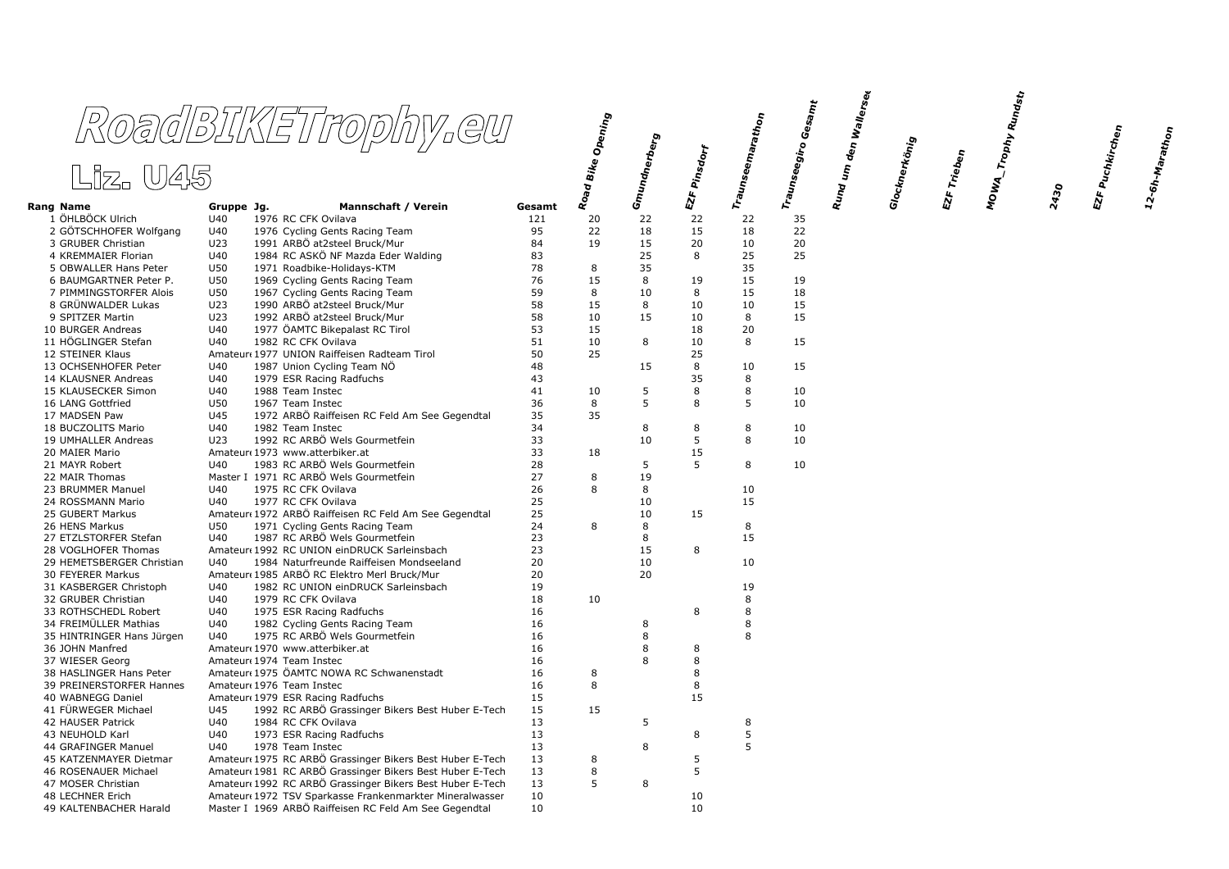|                                               | RoadBIKETrophy.eu                                                  |          | <sup>l</sup> Bike Opening |                   |          | Traunseemarathon | Traunseegiro Gesa <sub>mt</sub> | ı den Wallerse <sub>k</sub> |               |             | MOWA_Trophy Rundstr<br>C |      | EZF Puchkirchen |
|-----------------------------------------------|--------------------------------------------------------------------|----------|---------------------------|-------------------|----------|------------------|---------------------------------|-----------------------------|---------------|-------------|--------------------------|------|-----------------|
| Liz. U45                                      |                                                                    |          |                           | Gmundnerberg<br>I | Pinsdorf |                  |                                 | $\pmb{\xi}$                 | Glocknerkönig | EZF Trieben |                          |      |                 |
| Rang Name                                     | <b>Mannschaft / Verein</b><br>Gruppe Jg.                           | Gesamt   | Road                      |                   | EZF      |                  |                                 | Rund                        |               |             |                          | 2430 |                 |
| 1 ÖHLBÖCK Ulrich                              | U40<br>1976 RC CFK Ovilava                                         | 121      | 20                        | 22                | 22       | 22               | 35                              |                             |               |             |                          |      |                 |
| 2 GÖTSCHHOFER Wolfgang                        | U40<br>1976 Cycling Gents Racing Team                              | 95       | 22                        | 18                | 15       | 18               | 22                              |                             |               |             |                          |      |                 |
| 3 GRUBER Christian                            | 1991 ARBÖ at2steel Bruck/Mur<br>U23                                | 84       | 19                        | 15                | 20       | 10               | 20                              |                             |               |             |                          |      |                 |
| 4 KREMMAIER Florian                           | 1984 RC ASKÖ NF Mazda Eder Walding<br>U40                          | 83       |                           | 25                | 8        | 25               | 25                              |                             |               |             |                          |      |                 |
| 5 OBWALLER Hans Peter                         | U50<br>1971 Roadbike-Holidays-KTM                                  | 78       | 8                         | 35                |          | 35               |                                 |                             |               |             |                          |      |                 |
| 6 BAUMGARTNER Peter P.                        | U50<br>1969 Cycling Gents Racing Team                              | 76       | 15                        | 8                 | 19       | 15               | 19                              |                             |               |             |                          |      |                 |
| 7 PIMMINGSTORFER Alois                        | 1967 Cycling Gents Racing Team<br>U50                              | 59       | 8                         | 10                | 8        | 15               | 18                              |                             |               |             |                          |      |                 |
| 8 GRÜNWALDER Lukas                            | U23<br>1990 ARBÖ at2steel Bruck/Mur                                | 58       | 15                        | 8                 | 10       | 10               | 15                              |                             |               |             |                          |      |                 |
| 9 SPITZER Martin                              | U23<br>1992 ARBÖ at2steel Bruck/Mur                                | 58       | 10                        | 15                | 10       | 8                | 15                              |                             |               |             |                          |      |                 |
| 10 BURGER Andreas<br>11 HÖGLINGER Stefan      | U40<br>1977 ÖAMTC Bikepalast RC Tirol<br>U40                       | 53<br>51 | 15<br>10                  | 8                 | 18<br>10 | 20<br>8          | 15                              |                             |               |             |                          |      |                 |
| 12 STEINER Klaus                              | 1982 RC CFK Ovilava<br>Amateur 1977 UNION Raiffeisen Radteam Tirol | 50       | 25                        |                   | 25       |                  |                                 |                             |               |             |                          |      |                 |
| 13 OCHSENHOFER Peter                          | U40<br>1987 Union Cycling Team NO                                  | 48       |                           | 15                | 8        | 10               | 15                              |                             |               |             |                          |      |                 |
| 14 KLAUSNER Andreas                           | U40<br>1979 ESR Racing Radfuchs                                    | 43       |                           |                   | 35       | 8                |                                 |                             |               |             |                          |      |                 |
| 15 KLAUSECKER Simon                           | U40<br>1988 Team Instec                                            | 41       | 10                        | 5                 | 8        | 8                | 10                              |                             |               |             |                          |      |                 |
| 16 LANG Gottfried                             | U50<br>1967 Team Instec                                            | 36       | 8                         | 5                 | 8        | 5                | 10                              |                             |               |             |                          |      |                 |
| 17 MADSEN Paw                                 | U45<br>1972 ARBÖ Raiffeisen RC Feld Am See Gegendtal               | 35       | 35                        |                   |          |                  |                                 |                             |               |             |                          |      |                 |
| 18 BUCZOLITS Mario                            | U40<br>1982 Team Instec                                            | 34       |                           | 8                 | 8        | 8                | 10                              |                             |               |             |                          |      |                 |
| 19 UMHALLER Andreas                           | 1992 RC ARBÖ Wels Gourmetfein<br>U23                               | 33       |                           | 10                | 5        | 8                | 10                              |                             |               |             |                          |      |                 |
| 20 MAIER Mario                                | Amateur (1973 www.atterbiker.at                                    | 33       | 18                        |                   | 15       |                  |                                 |                             |               |             |                          |      |                 |
| 21 MAYR Robert                                | 1983 RC ARBÖ Wels Gourmetfein<br>U40                               | 28       |                           | 5                 | 5        | 8                | 10                              |                             |               |             |                          |      |                 |
| 22 MAIR Thomas                                | Master I 1971 RC ARBÖ Wels Gourmetfein                             | 27       | 8                         | 19                |          |                  |                                 |                             |               |             |                          |      |                 |
| 23 BRUMMER Manuel                             | U40<br>1975 RC CFK Ovilava                                         | 26       | 8                         | 8                 |          | 10               |                                 |                             |               |             |                          |      |                 |
| 24 ROSSMANN Mario                             | U40<br>1977 RC CFK Ovilava                                         | 25       |                           | 10                |          | 15               |                                 |                             |               |             |                          |      |                 |
| 25 GUBERT Markus                              | Amateur 1972 ARBÖ Raiffeisen RC Feld Am See Gegendtal              | 25       |                           | 10                | 15       |                  |                                 |                             |               |             |                          |      |                 |
| 26 HENS Markus                                | 1971 Cycling Gents Racing Team<br>U50                              | 24       | 8                         | 8                 |          | 8                |                                 |                             |               |             |                          |      |                 |
| 27 ETZLSTORFER Stefan                         | 1987 RC ARBÖ Wels Gourmetfein<br>U40                               | 23       |                           | 8                 |          | 15               |                                 |                             |               |             |                          |      |                 |
| 28 VOGLHOFER Thomas                           | Amateur 1992 RC UNION einDRUCK Sarleinsbach                        | 23       |                           | 15                | 8        |                  |                                 |                             |               |             |                          |      |                 |
| 29 HEMETSBERGER Christian                     | 1984 Naturfreunde Raiffeisen Mondseeland<br>U40                    | 20       |                           | 10                |          | 10               |                                 |                             |               |             |                          |      |                 |
| 30 FEYERER Markus                             | Amateur 1985 ARBÖ RC Elektro Merl Bruck/Mur                        | 20       |                           | 20                |          |                  |                                 |                             |               |             |                          |      |                 |
| 31 KASBERGER Christoph                        | 1982 RC UNION einDRUCK Sarleinsbach<br>U40                         | 19       |                           |                   |          | 19               |                                 |                             |               |             |                          |      |                 |
| 32 GRUBER Christian                           | U40<br>1979 RC CFK Ovilava<br>U40                                  | 18<br>16 | 10                        |                   | 8        | 8<br>8           |                                 |                             |               |             |                          |      |                 |
| 33 ROTHSCHEDL Robert<br>34 FREIMÜLLER Mathias | 1975 ESR Racing Radfuchs<br>U40<br>1982 Cycling Gents Racing Team  | 16       |                           | 8                 |          | 8                |                                 |                             |               |             |                          |      |                 |
| 35 HINTRINGER Hans Jürgen                     | U40<br>1975 RC ARBÖ Wels Gourmetfein                               | 16       |                           | 8                 |          | 8                |                                 |                             |               |             |                          |      |                 |
| 36 JOHN Manfred                               | Amateur 1970 www.atterbiker.at                                     | 16       |                           | 8                 | 8        |                  |                                 |                             |               |             |                          |      |                 |
| 37 WIESER Georg                               | Amateur 1974 Team Instec                                           | 16       |                           | 8                 | 8        |                  |                                 |                             |               |             |                          |      |                 |
| 38 HASLINGER Hans Peter                       | Amateur 1975 ÖAMTC NOWA RC Schwanenstadt                           | 16       | 8                         |                   | 8        |                  |                                 |                             |               |             |                          |      |                 |
| 39 PREINERSTORFER Hannes                      | Amateur 1976 Team Instec                                           | 16       | 8                         |                   | 8        |                  |                                 |                             |               |             |                          |      |                 |
| 40 WABNEGG Daniel                             | Amateur 1979 ESR Racing Radfuchs                                   | 15       |                           |                   | 15       |                  |                                 |                             |               |             |                          |      |                 |
| 41 FÜRWEGER Michael                           | U45<br>1992 RC ARBÖ Grassinger Bikers Best Huber E-Tech            | 15       | 15                        |                   |          |                  |                                 |                             |               |             |                          |      |                 |
| 42 HAUSER Patrick                             | U40<br>1984 RC CFK Ovilava                                         | 13       |                           | 5                 |          | 8                |                                 |                             |               |             |                          |      |                 |
| 43 NEUHOLD Karl                               | U40<br>1973 ESR Racing Radfuchs                                    | 13       |                           |                   | 8        | 5                |                                 |                             |               |             |                          |      |                 |
| 44 GRAFINGER Manuel                           | U40<br>1978 Team Instec                                            | 13       |                           | 8                 |          | 5                |                                 |                             |               |             |                          |      |                 |
| 45 KATZENMAYER Dietmar                        | Amateur 1975 RC ARBÖ Grassinger Bikers Best Huber E-Tech           | 13       | 8                         |                   | 5        |                  |                                 |                             |               |             |                          |      |                 |
| 46 ROSENAUER Michael                          | Amateur 1981 RC ARBÖ Grassinger Bikers Best Huber E-Tech           | 13       | 8                         |                   | 5        |                  |                                 |                             |               |             |                          |      |                 |
| 47 MOSER Christian                            | Amateur 1992 RC ARBÖ Grassinger Bikers Best Huber E-Tech           | 13       | 5                         | 8                 |          |                  |                                 |                             |               |             |                          |      |                 |
| 48 LECHNER Erich                              | Amateur 1972 TSV Sparkasse Frankenmarkter Mineralwasser            | 10       |                           |                   | 10       |                  |                                 |                             |               |             |                          |      |                 |
| 49 KALTENBACHER Harald                        | Master I 1969 ARBÖ Raiffeisen RC Feld Am See Gegendtal             | 10       |                           |                   | 10       |                  |                                 |                             |               |             |                          |      |                 |

 $12\text{-}6h\text{-}M_\text{drath}_{\text{O}\eta}$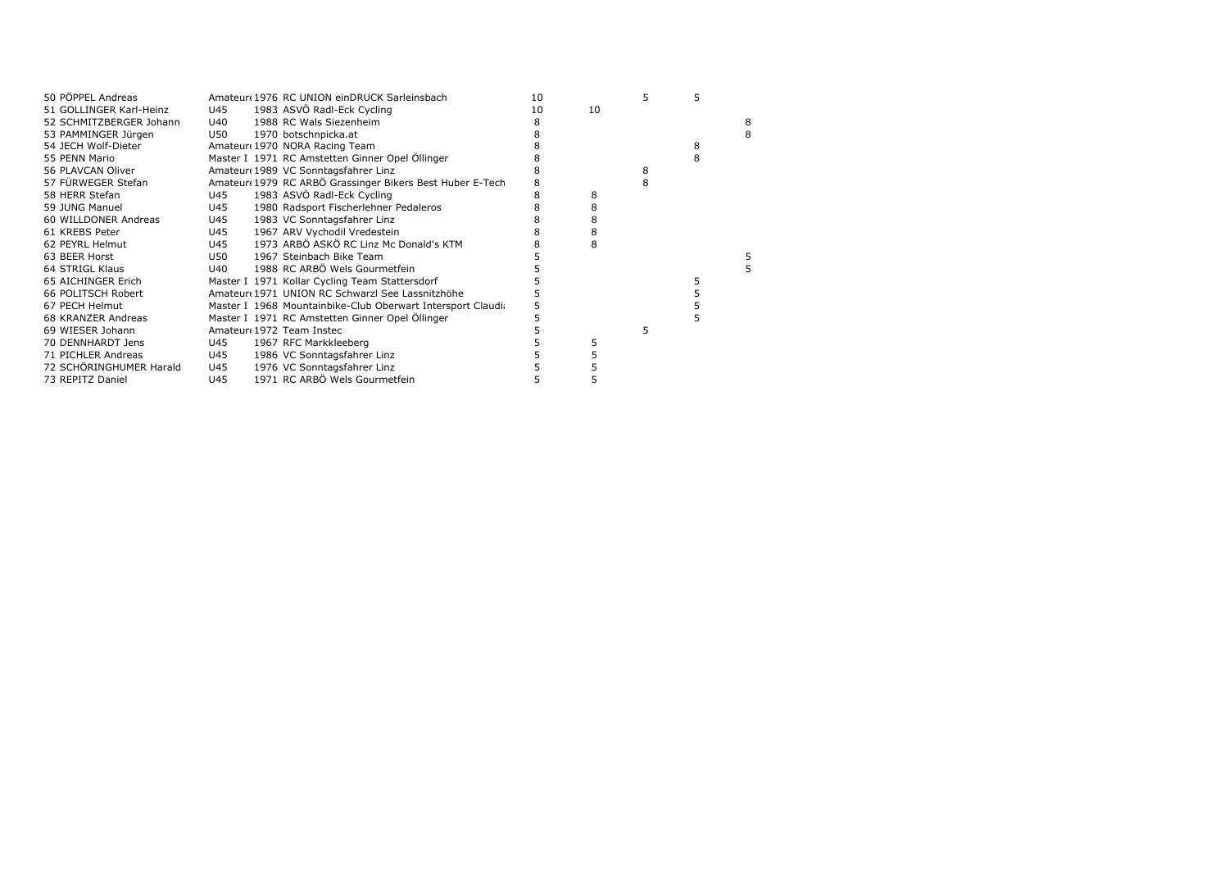| 50 PÖPPEL Andreas       |     | Amateur 1976 RC UNION einDRUCK Sarleinsbach                 | 10 |    | 5 |   |   |
|-------------------------|-----|-------------------------------------------------------------|----|----|---|---|---|
| 51 GOLLINGER Karl-Heinz | U45 | 1983 ASVÖ Radl-Eck Cycling                                  | 10 | 10 |   |   |   |
| 52 SCHMITZBERGER Johann | U40 | 1988 RC Wals Siezenheim                                     |    |    |   |   | 8 |
| 53 PAMMINGER Jürgen     | U50 | 1970 botschnpicka.at                                        |    |    |   |   | 8 |
| 54 JECH Wolf-Dieter     |     | Amateur 1970 NORA Racing Team                               |    |    |   | 8 |   |
| 55 PENN Mario           |     | Master I 1971 RC Amstetten Ginner Opel Öllinger             |    |    |   | 8 |   |
| 56 PLAVCAN Oliver       |     | Amateur (1989 VC Sonntagsfahrer Linz                        |    |    | 8 |   |   |
| 57 FÜRWEGER Stefan      |     | Amateur 1979 RC ARBÖ Grassinger Bikers Best Huber E-Tech    | 8  |    |   |   |   |
| 58 HERR Stefan          | U45 | 1983 ASVÖ Radl-Eck Cycling                                  | 8  | 8  |   |   |   |
| 59 JUNG Manuel          | U45 | 1980 Radsport Fischerlehner Pedaleros                       |    | 8  |   |   |   |
| 60 WILLDONER Andreas    | U45 | 1983 VC Sonntagsfahrer Linz                                 |    | 8  |   |   |   |
| 61 KREBS Peter          | U45 | 1967 ARV Vychodil Vredestein                                |    |    |   |   |   |
| 62 PEYRL Helmut         | U45 | 1973 ARBÖ ASKÖ RC Linz Mc Donald's KTM                      |    |    |   |   |   |
| 63 BEER Horst           | U50 | 1967 Steinbach Bike Team                                    |    |    |   |   |   |
| 64 STRIGL Klaus         | U40 | 1988 RC ARBÖ Wels Gourmetfein                               |    |    |   |   |   |
| 65 AICHINGER Erich      |     | Master I 1971 Kollar Cycling Team Stattersdorf              |    |    |   |   |   |
| 66 POLITSCH Robert      |     | Amateur (1971 UNION RC Schwarzl See Lassnitzhöhe            |    |    |   |   |   |
| 67 PECH Helmut          |     | Master I 1968 Mountainbike-Club Oberwart Intersport Claudia |    |    |   |   |   |
| 68 KRANZER Andreas      |     | Master I 1971 RC Amstetten Ginner Opel Öllinger             |    |    |   |   |   |
| 69 WIESER Johann        |     | Amateur 1972 Team Instec                                    |    |    | 5 |   |   |
| 70 DENNHARDT Jens       | U45 | 1967 RFC Markkleeberg                                       |    |    |   |   |   |
| 71 PICHLER Andreas      | U45 | 1986 VC Sonntagsfahrer Linz                                 |    |    |   |   |   |
| 72 SCHÖRINGHUMER Harald | U45 | 1976 VC Sonntagsfahrer Linz                                 |    |    |   |   |   |
| 73 REPITZ Daniel        | U45 | 1971 RC ARBÖ Wels Gourmetfein                               |    |    |   |   |   |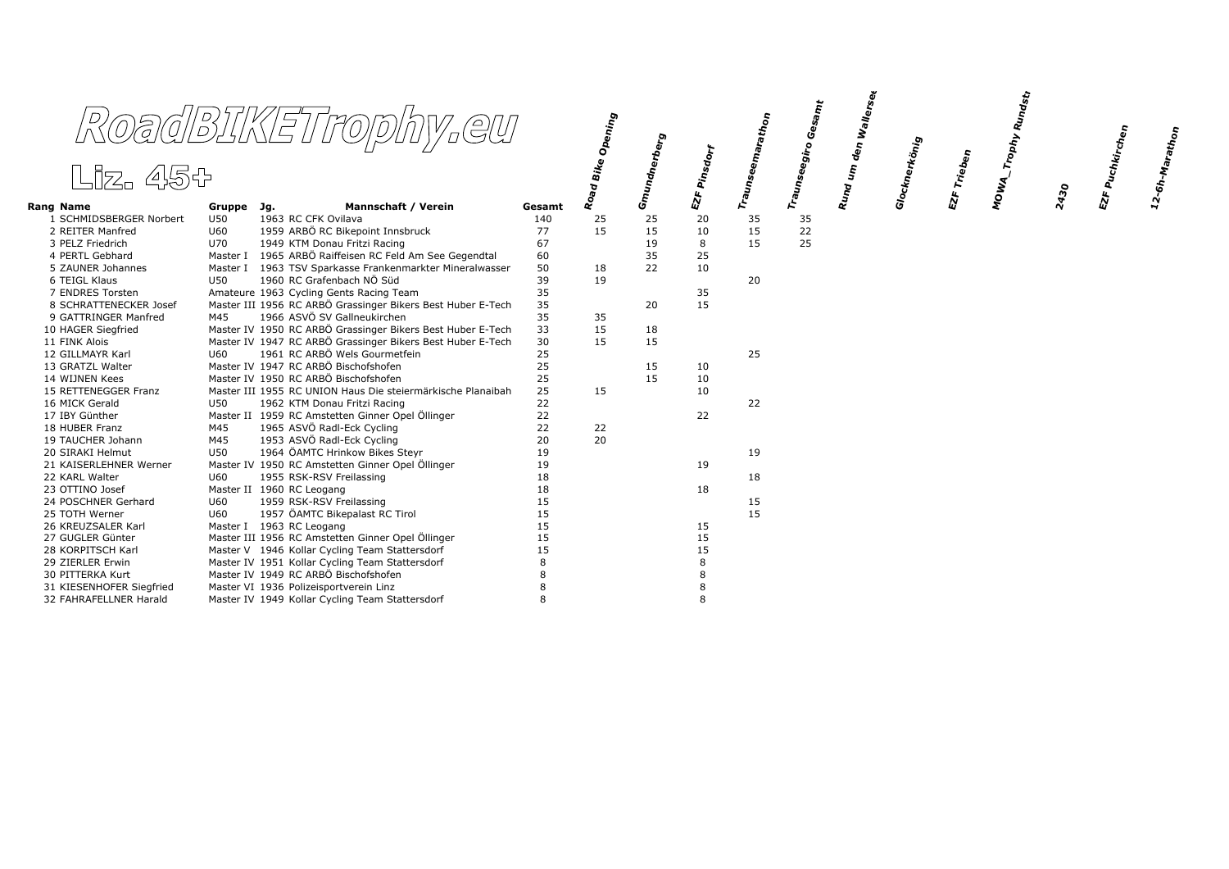|                                    |            | RoadBIKETrophy.eu                                                     |          | Opening      |                   |                          |           | Gesamt         | den Wallerse <sub>t</sub> |               |         | <sup>M</sup> OWA_Trophy Rundst <sub>i</sub> |      | <sup>: Puchkirchen</sup> |                                                        |
|------------------------------------|------------|-----------------------------------------------------------------------|----------|--------------|-------------------|--------------------------|-----------|----------------|---------------------------|---------------|---------|---------------------------------------------|------|--------------------------|--------------------------------------------------------|
| Liz. 45+                           |            |                                                                       |          | Bike<br>Road | Gmundnerberg<br>S | EZF Pinsdo <sub>rf</sub> | Traunseem | Traunseegiro ( | $\pmb{\hat{\xi}}$<br>Rund | Glocknerkönig | Trieben |                                             | 2430 | $\vec{z}$                | $12\text{-}6h\text{-}M_\text{a}r_\text{ath}_\text{on}$ |
| Rang Name                          | Gruppe Jg. | <b>Mannschaft / Verein</b>                                            | Gesamt   |              |                   |                          |           |                |                           |               | ស៊      |                                             |      |                          |                                                        |
| 1 SCHMIDSBERGER Norbert            | U50        | 1963 RC CFK Ovilava                                                   | 140      | 25           | 25                | 20                       | 35        | 35             |                           |               |         |                                             |      |                          |                                                        |
| 2 REITER Manfred                   | <b>U60</b> | 1959 ARBÖ RC Bikepoint Innsbruck                                      | 77       | 15           | 15                | 10                       | 15        | 22             |                           |               |         |                                             |      |                          |                                                        |
| 3 PELZ Friedrich                   | U70        | 1949 KTM Donau Fritzi Racing                                          | 67       |              | 19                | 8                        | 15        | 25             |                           |               |         |                                             |      |                          |                                                        |
| 4 PERTL Gebhard                    |            | Master I 1965 ARBÖ Raiffeisen RC Feld Am See Gegendtal                | 60       |              | 35                | 25                       |           |                |                           |               |         |                                             |      |                          |                                                        |
| 5 ZAUNER Johannes                  |            | Master I 1963 TSV Sparkasse Frankenmarkter Mineralwasser              | 50       | 18           | 22                | 10                       |           |                |                           |               |         |                                             |      |                          |                                                        |
| 6 TEIGL Klaus                      | U50        | 1960 RC Grafenbach NÖ Süd                                             | 39       | 19           |                   |                          | 20        |                |                           |               |         |                                             |      |                          |                                                        |
| 7 ENDRES Torsten                   |            | Amateure 1963 Cycling Gents Racing Team                               | 35       |              |                   | 35                       |           |                |                           |               |         |                                             |      |                          |                                                        |
| 8 SCHRATTENECKER Josef             |            | Master III 1956 RC ARBÖ Grassinger Bikers Best Huber E-Tech           | 35       |              | 20                | 15                       |           |                |                           |               |         |                                             |      |                          |                                                        |
| 9 GATTRINGER Manfred               | M45        | 1966 ASVÖ SV Gallneukirchen                                           | 35       | 35           |                   |                          |           |                |                           |               |         |                                             |      |                          |                                                        |
| 10 HAGER Siegfried                 |            | Master IV 1950 RC ARBÖ Grassinger Bikers Best Huber E-Tech            | 33       | 15           | 18                |                          |           |                |                           |               |         |                                             |      |                          |                                                        |
| 11 FINK Alois                      |            | Master IV 1947 RC ARBÖ Grassinger Bikers Best Huber E-Tech            | 30       | 15           | 15                |                          |           |                |                           |               |         |                                             |      |                          |                                                        |
| 12 GILLMAYR Karl                   | U60        | 1961 RC ARBÖ Wels Gourmetfein<br>Master IV 1947 RC ARBÖ Bischofshofen | 25       |              |                   |                          | 25        |                |                           |               |         |                                             |      |                          |                                                        |
| 13 GRATZL Walter<br>14 WIJNEN Kees |            | Master IV 1950 RC ARBÖ Bischofshofen                                  | 25<br>25 |              | 15<br>15          | 10<br>10                 |           |                |                           |               |         |                                             |      |                          |                                                        |
| 15 RETTENEGGER Franz               |            | Master III 1955 RC UNION Haus Die steiermärkische Planaibah           | 25       | 15           |                   | 10                       |           |                |                           |               |         |                                             |      |                          |                                                        |
| 16 MICK Gerald                     | U50        | 1962 KTM Donau Fritzi Racing                                          | 22       |              |                   |                          | 22        |                |                           |               |         |                                             |      |                          |                                                        |
| 17 IBY Günther                     |            | Master II 1959 RC Amstetten Ginner Opel Öllinger                      | 22       |              |                   | 22                       |           |                |                           |               |         |                                             |      |                          |                                                        |
| 18 HUBER Franz                     | M45        | 1965 ASVÖ Radl-Eck Cycling                                            | 22       | 22           |                   |                          |           |                |                           |               |         |                                             |      |                          |                                                        |
| 19 TAUCHER Johann                  | M45        | 1953 ASVÖ Radl-Eck Cycling                                            | 20       | 20           |                   |                          |           |                |                           |               |         |                                             |      |                          |                                                        |
| 20 SIRAKI Helmut                   | U50        | 1964 ÖAMTC Hrinkow Bikes Steyr                                        | 19       |              |                   |                          | 19        |                |                           |               |         |                                             |      |                          |                                                        |
| 21 KAISERLEHNER Werner             |            | Master IV 1950 RC Amstetten Ginner Opel Öllinger                      | 19       |              |                   | 19                       |           |                |                           |               |         |                                             |      |                          |                                                        |
| 22 KARL Walter                     | U60        | 1955 RSK-RSV Freilassing                                              | 18       |              |                   |                          | 18        |                |                           |               |         |                                             |      |                          |                                                        |
| 23 OTTINO Josef                    |            | Master II 1960 RC Leogang                                             | 18       |              |                   | 18                       |           |                |                           |               |         |                                             |      |                          |                                                        |
| 24 POSCHNER Gerhard                | U60        | 1959 RSK-RSV Freilassing                                              | 15       |              |                   |                          | 15        |                |                           |               |         |                                             |      |                          |                                                        |
| 25 TOTH Werner                     | U60        | 1957 ÖAMTC Bikepalast RC Tirol                                        | 15       |              |                   |                          | 15        |                |                           |               |         |                                             |      |                          |                                                        |
| 26 KREUZSALER Karl                 |            | Master I 1963 RC Leogang                                              | 15       |              |                   | 15                       |           |                |                           |               |         |                                             |      |                          |                                                        |
| 27 GUGLER Günter                   |            | Master III 1956 RC Amstetten Ginner Opel Öllinger                     | 15       |              |                   | 15                       |           |                |                           |               |         |                                             |      |                          |                                                        |
| 28 KORPITSCH Karl                  |            | Master V 1946 Kollar Cycling Team Stattersdorf                        | 15       |              |                   | 15                       |           |                |                           |               |         |                                             |      |                          |                                                        |
| 29 ZIERLER Erwin                   |            | Master IV 1951 Kollar Cycling Team Stattersdorf                       | 8        |              |                   | 8                        |           |                |                           |               |         |                                             |      |                          |                                                        |
| 30 PITTERKA Kurt                   |            | Master IV 1949 RC ARBÖ Bischofshofen                                  |          |              |                   | 8                        |           |                |                           |               |         |                                             |      |                          |                                                        |
| 31 KIESENHOFER Siegfried           |            | Master VI 1936 Polizeisportverein Linz                                |          |              |                   | 8                        |           |                |                           |               |         |                                             |      |                          |                                                        |
| 32 FAHRAFELLNER Harald             |            | Master IV 1949 Kollar Cycling Team Stattersdorf                       | 8        |              |                   | $\mathsf{R}$             |           |                |                           |               |         |                                             |      |                          |                                                        |
|                                    |            |                                                                       |          |              |                   |                          |           |                |                           |               |         |                                             |      |                          |                                                        |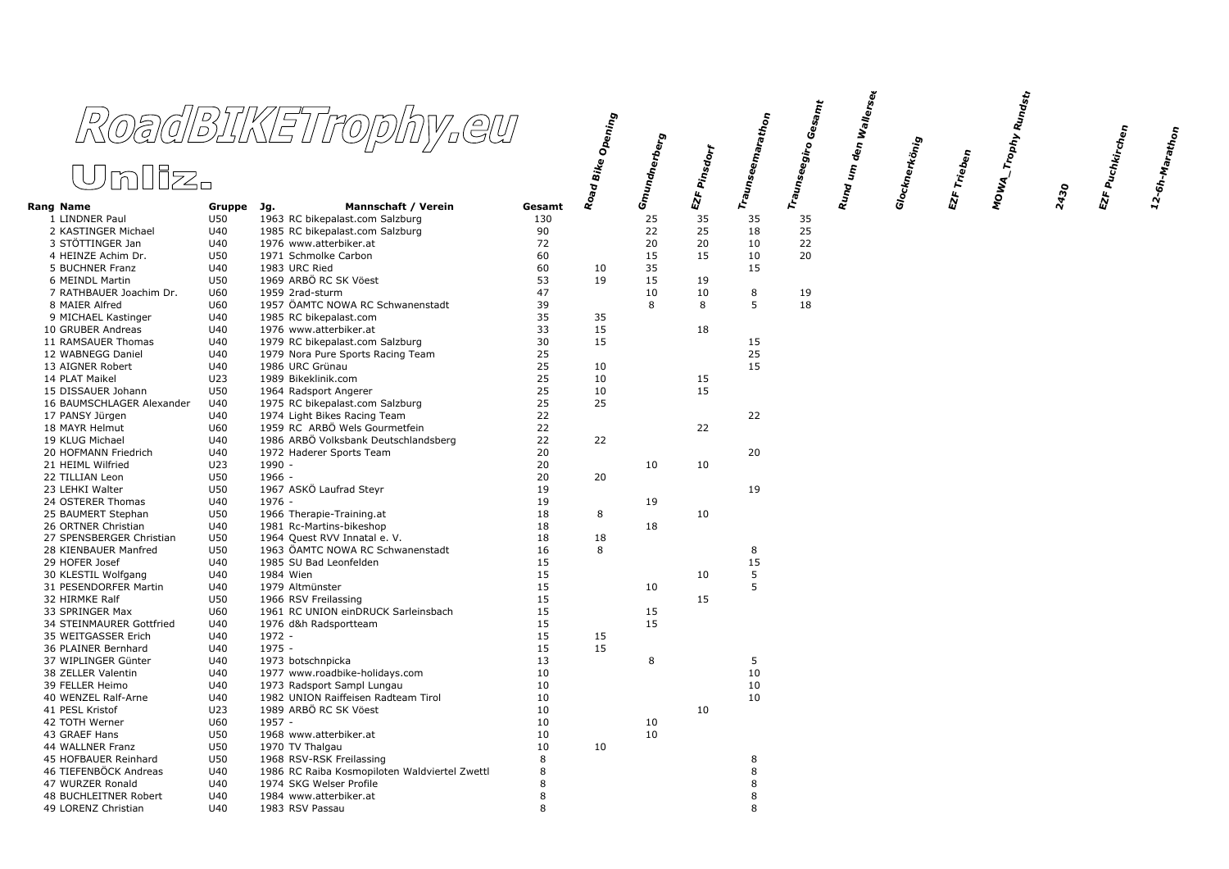|                                        |            | RoadBIKETrophy.eu                                                 |          | Road Bike Opening | Gmundnerberg<br>I |                                          | Traunseemarathon | $G$ esa $\eta_{\bm t}$ | <sup>ı den</sup> Wallerse <sub>k</sub> |                    |         | MOWA_Trophy Rundst <sub>t</sub> |      | EZF Puchkirchen | $12\text{-}6h\text{-}M$ athon |
|----------------------------------------|------------|-------------------------------------------------------------------|----------|-------------------|-------------------|------------------------------------------|------------------|------------------------|----------------------------------------|--------------------|---------|---------------------------------|------|-----------------|-------------------------------|
| <u> Unliz.</u>                         |            |                                                                   |          |                   |                   | Pinsdorf                                 |                  | Traunseegiro (         | Rund um                                | Glocknerkönig<br>I | Trieben |                                 |      |                 |                               |
| Rang Name                              | Gruppe Jg. | Mannschaft / Verein                                               | Gesamt   |                   |                   | $\pmb{E} \pmb{\Sigma} \pmb{\varepsilon}$ |                  |                        |                                        |                    | EZF.    |                                 | 2430 |                 |                               |
| 1 LINDNER Paul                         | U50        | 1963 RC bikepalast.com Salzburg                                   | 130      |                   | 25                | 35                                       | 35               | 35                     |                                        |                    |         |                                 |      |                 |                               |
| 2 KASTINGER Michael                    | U40        | 1985 RC bikepalast.com Salzburg                                   | 90       |                   | 22                | 25                                       | 18               | 25                     |                                        |                    |         |                                 |      |                 |                               |
| 3 STÖTTINGER Jan                       | U40        | 1976 www.atterbiker.at                                            | 72       |                   | 20                | 20                                       | 10               | 22                     |                                        |                    |         |                                 |      |                 |                               |
| 4 HEINZE Achim Dr.                     | U50        | 1971 Schmolke Carbon                                              | 60       |                   | 15                | 15                                       | 10               | 20                     |                                        |                    |         |                                 |      |                 |                               |
| 5 BUCHNER Franz                        | U40        | 1983 URC Ried                                                     | 60       | 10                | 35                |                                          | 15               |                        |                                        |                    |         |                                 |      |                 |                               |
| 6 MEINDL Martin                        | U50        | 1969 ARBÖ RC SK Vöest                                             | 53       | 19                | 15                | 19                                       |                  |                        |                                        |                    |         |                                 |      |                 |                               |
| 7 RATHBAUER Joachim Dr.                | U60        | 1959 2rad-sturm<br>1957 ÖAMTC NOWA RC Schwanenstadt               | 47<br>39 |                   | 10                | 10<br>8                                  | 8<br>5           | 19<br>18               |                                        |                    |         |                                 |      |                 |                               |
| 8 MAIER Alfred<br>9 MICHAEL Kastinger  | U60<br>U40 | 1985 RC bikepalast.com                                            | 35       | 35                | 8                 |                                          |                  |                        |                                        |                    |         |                                 |      |                 |                               |
| 10 GRUBER Andreas                      | U40        | 1976 www.atterbiker.at                                            | 33       | 15                |                   | 18                                       |                  |                        |                                        |                    |         |                                 |      |                 |                               |
| 11 RAMSAUER Thomas                     | U40        | 1979 RC bikepalast.com Salzburg                                   | 30       | 15                |                   |                                          | 15               |                        |                                        |                    |         |                                 |      |                 |                               |
| 12 WABNEGG Daniel                      | U40        | 1979 Nora Pure Sports Racing Team                                 | 25       |                   |                   |                                          | 25               |                        |                                        |                    |         |                                 |      |                 |                               |
| 13 AIGNER Robert                       | U40        | 1986 URC Grünau                                                   | 25       | 10                |                   |                                          | 15               |                        |                                        |                    |         |                                 |      |                 |                               |
| 14 PLAT Maikel                         | U23        | 1989 Bikeklinik.com                                               | 25       | 10                |                   | 15                                       |                  |                        |                                        |                    |         |                                 |      |                 |                               |
| 15 DISSAUER Johann                     | U50        | 1964 Radsport Angerer                                             | 25       | 10                |                   | 15                                       |                  |                        |                                        |                    |         |                                 |      |                 |                               |
| 16 BAUMSCHLAGER Alexander              | U40        | 1975 RC bikepalast.com Salzburg                                   | 25       | 25                |                   |                                          |                  |                        |                                        |                    |         |                                 |      |                 |                               |
| 17 PANSY Jürgen                        | U40        | 1974 Light Bikes Racing Team                                      | 22       |                   |                   |                                          | 22               |                        |                                        |                    |         |                                 |      |                 |                               |
| 18 MAYR Helmut                         | U60        | 1959 RC ARBÖ Wels Gourmetfein                                     | 22       |                   |                   | 22                                       |                  |                        |                                        |                    |         |                                 |      |                 |                               |
| 19 KLUG Michael                        | U40        | 1986 ARBÖ Volksbank Deutschlandsberg                              | 22       | 22                |                   |                                          |                  |                        |                                        |                    |         |                                 |      |                 |                               |
| 20 HOFMANN Friedrich                   | U40        | 1972 Haderer Sports Team                                          | 20       |                   |                   |                                          | 20               |                        |                                        |                    |         |                                 |      |                 |                               |
| 21 HEIML Wilfried                      | U23        | $1990 -$                                                          | 20       |                   | 10                | 10                                       |                  |                        |                                        |                    |         |                                 |      |                 |                               |
| 22 TILLIAN Leon                        | U50        | 1966 -                                                            | 20       | 20                |                   |                                          |                  |                        |                                        |                    |         |                                 |      |                 |                               |
| 23 LEHKI Walter                        | U50        | 1967 ASKÖ Laufrad Steyr                                           | 19       |                   |                   |                                          | 19               |                        |                                        |                    |         |                                 |      |                 |                               |
| 24 OSTERER Thomas                      | U40        | 1976 -                                                            | 19       |                   | 19                |                                          |                  |                        |                                        |                    |         |                                 |      |                 |                               |
| 25 BAUMERT Stephan                     | U50        | 1966 Therapie-Training.at                                         | 18       | 8                 |                   | 10                                       |                  |                        |                                        |                    |         |                                 |      |                 |                               |
| 26 ORTNER Christian                    | U40        | 1981 Rc-Martins-bikeshop                                          | 18       |                   | 18                |                                          |                  |                        |                                        |                    |         |                                 |      |                 |                               |
| 27 SPENSBERGER Christian               | U50        | 1964 Quest RVV Innatal e. V.                                      | 18       | 18                |                   |                                          |                  |                        |                                        |                    |         |                                 |      |                 |                               |
| 28 KIENBAUER Manfred                   | U50        | 1963 ÖAMTC NOWA RC Schwanenstadt                                  | 16       | 8                 |                   |                                          | 8                |                        |                                        |                    |         |                                 |      |                 |                               |
| 29 HOFER Josef                         | U40        | 1985 SU Bad Leonfelden                                            | 15       |                   |                   |                                          | 15               |                        |                                        |                    |         |                                 |      |                 |                               |
| 30 KLESTIL Wolfgang                    | U40        | 1984 Wien                                                         | 15       |                   |                   | 10                                       | 5                |                        |                                        |                    |         |                                 |      |                 |                               |
| 31 PESENDORFER Martin                  | U40        | 1979 Altmünster                                                   | 15       |                   | 10                |                                          | 5                |                        |                                        |                    |         |                                 |      |                 |                               |
| 32 HIRMKE Ralf                         | U50        | 1966 RSV Freilassing                                              | 15       |                   |                   | 15                                       |                  |                        |                                        |                    |         |                                 |      |                 |                               |
| 33 SPRINGER Max                        | U60        | 1961 RC UNION einDRUCK Sarleinsbach                               | 15       |                   | 15                |                                          |                  |                        |                                        |                    |         |                                 |      |                 |                               |
| 34 STEINMAURER Gottfried               | U40        | 1976 d&h Radsportteam                                             | 15       |                   | 15                |                                          |                  |                        |                                        |                    |         |                                 |      |                 |                               |
| 35 WEITGASSER Erich                    | U40        | 1972 -                                                            | 15       | 15                |                   |                                          |                  |                        |                                        |                    |         |                                 |      |                 |                               |
| 36 PLAINER Bernhard                    | U40        | $1975 -$                                                          | 15       | 15                |                   |                                          |                  |                        |                                        |                    |         |                                 |      |                 |                               |
| 37 WIPLINGER Günter                    | U40        | 1973 botschnpicka                                                 | 13       |                   | 8                 |                                          | 5<br>10          |                        |                                        |                    |         |                                 |      |                 |                               |
| 38 ZELLER Valentin                     | U40        | 1977 www.roadbike-holidays.com                                    | 10       |                   |                   |                                          |                  |                        |                                        |                    |         |                                 |      |                 |                               |
| 39 FELLER Heimo<br>40 WENZEL Ralf-Arne | U40<br>U40 | 1973 Radsport Sampl Lungau<br>1982 UNION Raiffeisen Radteam Tirol | 10<br>10 |                   |                   |                                          | 10<br>10         |                        |                                        |                    |         |                                 |      |                 |                               |
| 41 PESL Kristof                        | U23        | 1989 ARBÖ RC SK Vöest                                             | 10       |                   |                   | 10                                       |                  |                        |                                        |                    |         |                                 |      |                 |                               |
| 42 TOTH Werner                         | U60        | $1957 -$                                                          | 10       |                   | 10                |                                          |                  |                        |                                        |                    |         |                                 |      |                 |                               |
| 43 GRAEF Hans                          | U50        | 1968 www.atterbiker.at                                            | 10       |                   | 10                |                                          |                  |                        |                                        |                    |         |                                 |      |                 |                               |
| 44 WALLNER Franz                       | U50        | 1970 TV Thalgau                                                   | 10       | 10                |                   |                                          |                  |                        |                                        |                    |         |                                 |      |                 |                               |
| 45 HOFBAUER Reinhard                   | U50        | 1968 RSV-RSK Freilassing                                          | 8        |                   |                   |                                          | 8                |                        |                                        |                    |         |                                 |      |                 |                               |
| 46 TIEFENBÖCK Andreas                  | U40        | 1986 RC Raiba Kosmopiloten Waldviertel Zwettl                     | 8        |                   |                   |                                          | 8                |                        |                                        |                    |         |                                 |      |                 |                               |
| 47 WURZER Ronald                       | U40        | 1974 SKG Welser Profile                                           | 8        |                   |                   |                                          | 8                |                        |                                        |                    |         |                                 |      |                 |                               |
| 48 BUCHLEITNER Robert                  | U40        | 1984 www.atterbiker.at                                            | 8        |                   |                   |                                          | 8                |                        |                                        |                    |         |                                 |      |                 |                               |
| 49 LORENZ Christian                    | U40        | 1983 RSV Passau                                                   | 8        |                   |                   |                                          | 8                |                        |                                        |                    |         |                                 |      |                 |                               |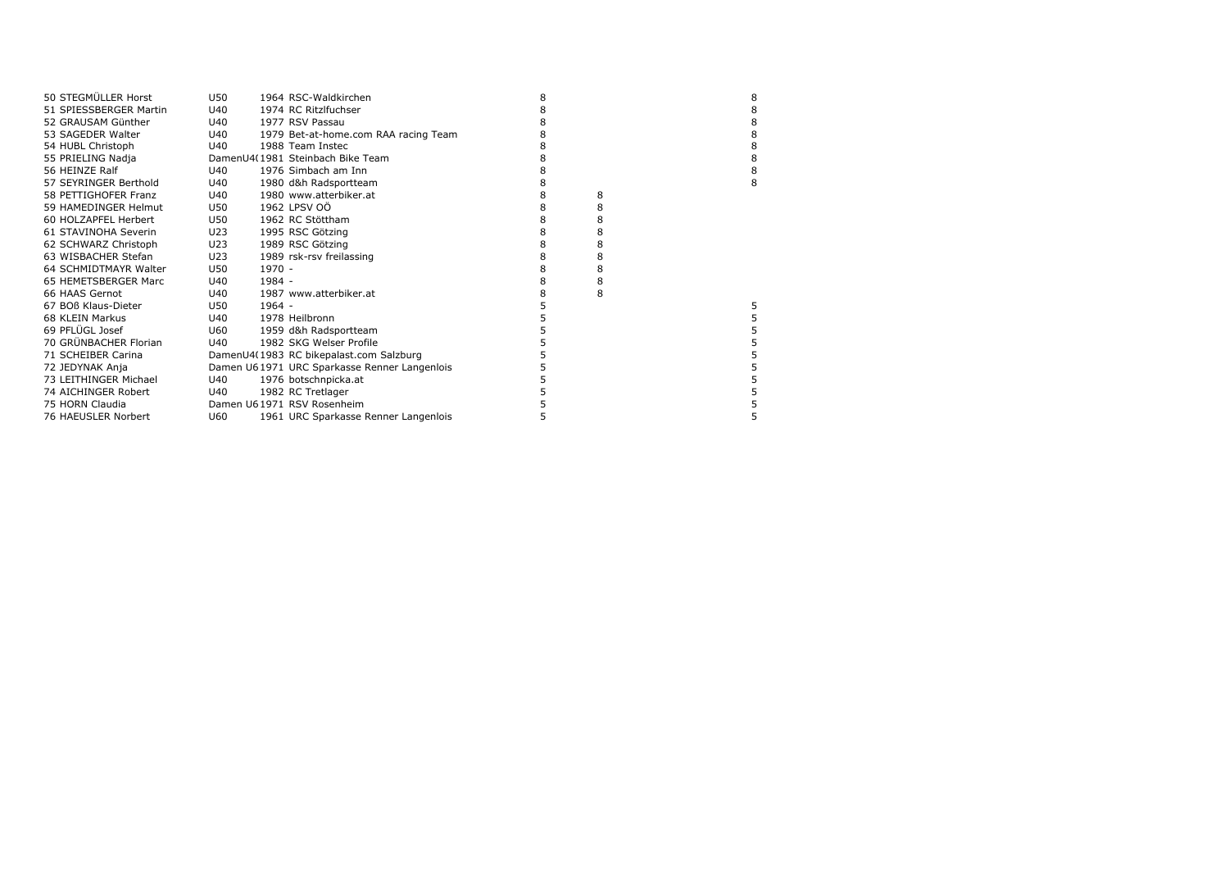| 50 STEGMÜLLER Horst    | U50 |          | 1964 RSC-Waldkirchen                         | 8 |   | 8 |
|------------------------|-----|----------|----------------------------------------------|---|---|---|
| 51 SPIESSBERGER Martin | U40 |          | 1974 RC Ritzlfuchser                         | 8 |   | 8 |
| 52 GRAUSAM Günther     | U40 |          | 1977 RSV Passau                              | 8 |   | 8 |
| 53 SAGEDER Walter      | U40 |          | 1979 Bet-at-home.com RAA racing Team         | 8 |   | 8 |
| 54 HUBL Christoph      | U40 |          | 1988 Team Instec                             | 8 |   | 8 |
| 55 PRIELING Nadja      |     |          | DamenU4(1981 Steinbach Bike Team             | 8 |   | 8 |
| 56 HEINZE Ralf         | U40 |          | 1976 Simbach am Inn                          | 8 |   | 8 |
| 57 SEYRINGER Berthold  | U40 |          | 1980 d&h Radsportteam                        | 8 |   | 8 |
| 58 PETTIGHOFER Franz   | U40 |          | 1980 www.atterbiker.at                       | 8 | 8 |   |
| 59 HAMEDINGER Helmut   | U50 |          | 1962 LPSV 00                                 | 8 | 8 |   |
| 60 HOLZAPFEL Herbert   | U50 |          | 1962 RC Stöttham                             | 8 | 8 |   |
| 61 STAVINOHA Severin   | U23 |          | 1995 RSC Götzing                             | 8 | 8 |   |
| 62 SCHWARZ Christoph   | U23 |          | 1989 RSC Götzing                             | 8 | 8 |   |
| 63 WISBACHER Stefan    | U23 |          | 1989 rsk-rsv freilassing                     | 8 | 8 |   |
| 64 SCHMIDTMAYR Walter  | U50 | 1970 -   |                                              | 8 | 8 |   |
| 65 HEMETSBERGER Marc   | U40 | 1984 -   |                                              | 8 | 8 |   |
| 66 HAAS Gernot         | U40 |          | 1987 www.atterbiker.at                       | 8 | 8 |   |
| 67 BOB Klaus-Dieter    | U50 | $1964 -$ |                                              | 5 |   | 5 |
| 68 KLEIN Markus        | U40 |          | 1978 Heilbronn                               | 5 |   | 5 |
| 69 PFLÜGL Josef        | U60 |          | 1959 d&h Radsportteam                        |   |   | 5 |
| 70 GRÜNBACHER Florian  | U40 |          | 1982 SKG Welser Profile                      |   |   | 5 |
| 71 SCHEIBER Carina     |     |          | DamenU4(1983 RC bikepalast.com Salzburg      | 5 |   | 5 |
| 72 JEDYNAK Anja        |     |          | Damen U61971 URC Sparkasse Renner Langenlois |   |   | 5 |
| 73 LEITHINGER Michael  | U40 |          | 1976 botschnpicka.at                         |   |   | 5 |
| 74 AICHINGER Robert    | U40 |          | 1982 RC Tretlager                            |   |   | 5 |
| 75 HORN Claudia        |     |          | Damen U61971 RSV Rosenheim                   |   |   | 5 |
| 76 HAEUSLER Norbert    | U60 |          | 1961 URC Sparkasse Renner Langenlois         | 5 |   | 5 |